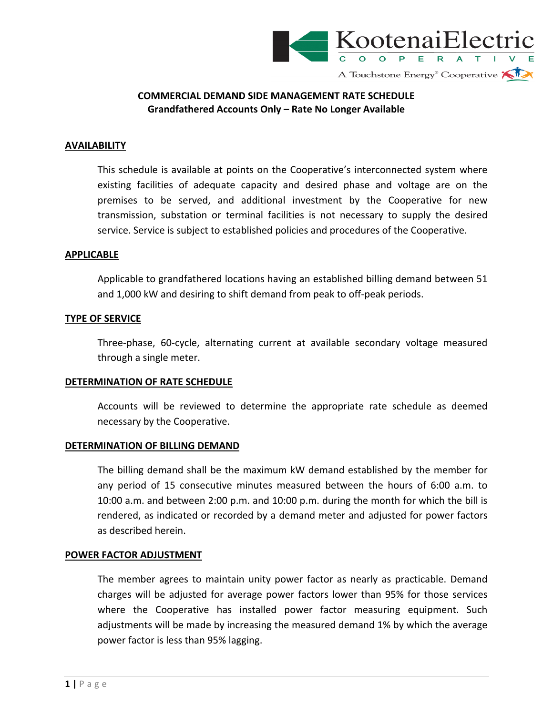

## **COMMERCIAL DEMAND SIDE MANAGEMENT RATE SCHEDULE Grandfathered Accounts Only – Rate No Longer Available**

## **AVAILABILITY**

This schedule is available at points on the Cooperative's interconnected system where existing facilities of adequate capacity and desired phase and voltage are on the premises to be served, and additional investment by the Cooperative for new transmission, substation or terminal facilities is not necessary to supply the desired service. Service is subject to established policies and procedures of the Cooperative.

#### **APPLICABLE**

Applicable to grandfathered locations having an established billing demand between 51 and 1,000 kW and desiring to shift demand from peak to off‐peak periods.

#### **TYPE OF SERVICE**

Three‐phase, 60‐cycle, alternating current at available secondary voltage measured through a single meter.

#### **DETERMINATION OF RATE SCHEDULE**

Accounts will be reviewed to determine the appropriate rate schedule as deemed necessary by the Cooperative.

#### **DETERMINATION OF BILLING DEMAND**

The billing demand shall be the maximum kW demand established by the member for any period of 15 consecutive minutes measured between the hours of 6:00 a.m. to 10:00 a.m. and between 2:00 p.m. and 10:00 p.m. during the month for which the bill is rendered, as indicated or recorded by a demand meter and adjusted for power factors as described herein.

#### **POWER FACTOR ADJUSTMENT**

The member agrees to maintain unity power factor as nearly as practicable. Demand charges will be adjusted for average power factors lower than 95% for those services where the Cooperative has installed power factor measuring equipment. Such adjustments will be made by increasing the measured demand 1% by which the average power factor is less than 95% lagging.